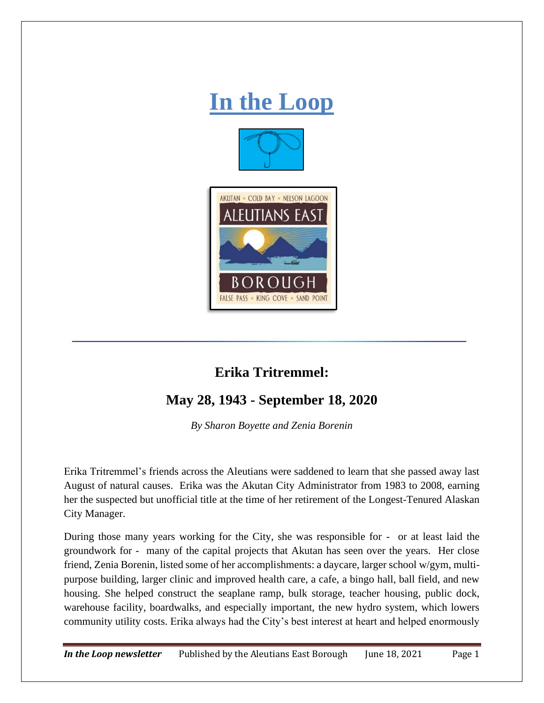

## **Erika Tritremmel:**

## **May 28, 1943 - September 18, 2020**

*By Sharon Boyette and Zenia Borenin*

Erika Tritremmel's friends across the Aleutians were saddened to learn that she passed away last August of natural causes. Erika was the Akutan City Administrator from 1983 to 2008, earning her the suspected but unofficial title at the time of her retirement of the Longest-Tenured Alaskan City Manager.

During those many years working for the City, she was responsible for - or at least laid the groundwork for - many of the capital projects that Akutan has seen over the years. Her close friend, Zenia Borenin, listed some of her accomplishments: a daycare, larger school w/gym, multipurpose building, larger clinic and improved health care, a cafe, a bingo hall, ball field, and new housing. She helped construct the seaplane ramp, bulk storage, teacher housing, public dock, warehouse facility, boardwalks, and especially important, the new hydro system, which lowers community utility costs. Erika always had the City's best interest at heart and helped enormously

*In the Loop newsletter* Published by the Aleutians East Borough June 18, 2021 Page 1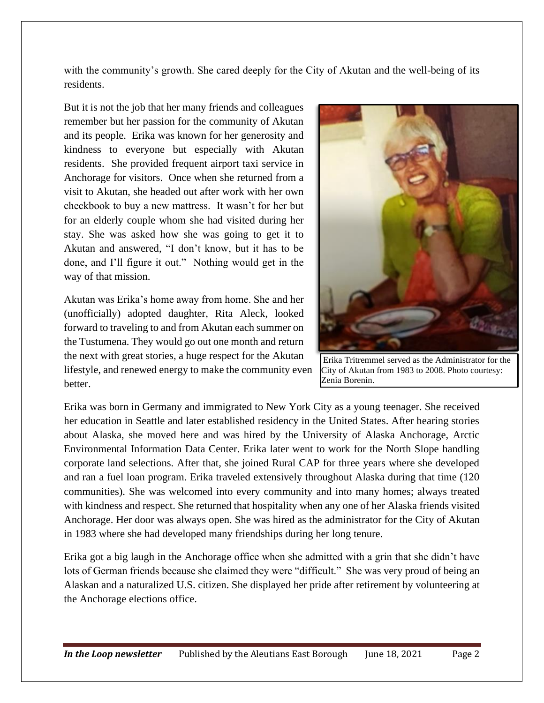with the community's growth. She cared deeply for the City of Akutan and the well-being of its residents.

But it is not the job that her many friends and colleagues remember but her passion for the community of Akutan and its people. Erika was known for her generosity and kindness to everyone but especially with Akutan residents. She provided frequent airport taxi service in Anchorage for visitors. Once when she returned from a visit to Akutan, she headed out after work with her own checkbook to buy a new mattress. It wasn't for her but for an elderly couple whom she had visited during her stay. She was asked how she was going to get it to Akutan and answered, "I don't know, but it has to be done, and I'll figure it out." Nothing would get in the way of that mission.

Akutan was Erika's home away from home. She and her (unofficially) adopted daughter, Rita Aleck, looked forward to traveling to and from Akutan each summer on the Tustumena. They would go out one month and return the next with great stories, a huge respect for the Akutan lifestyle, and renewed energy to make the community even better.



Erika Tritremmel served as the Administrator for the City of Akutan from 1983 to 2008. Photo courtesy: Zenia Borenin.

Erika was born in Germany and immigrated to New York City as a young teenager. She received her education in Seattle and later established residency in the United States. After hearing stories about Alaska, she moved here and was hired by the University of Alaska Anchorage, Arctic Environmental Information Data Center. Erika later went to work for the North Slope handling corporate land selections. After that, she joined Rural CAP for three years where she developed and ran a fuel loan program. Erika traveled extensively throughout Alaska during that time (120 communities). She was welcomed into every community and into many homes; always treated with kindness and respect. She returned that hospitality when any one of her Alaska friends visited Anchorage. Her door was always open. She was hired as the administrator for the City of Akutan in 1983 where she had developed many friendships during her long tenure.

Erika got a big laugh in the Anchorage office when she admitted with a grin that she didn't have lots of German friends because she claimed they were "difficult." She was very proud of being an Alaskan and a naturalized U.S. citizen. She displayed her pride after retirement by volunteering at the Anchorage elections office.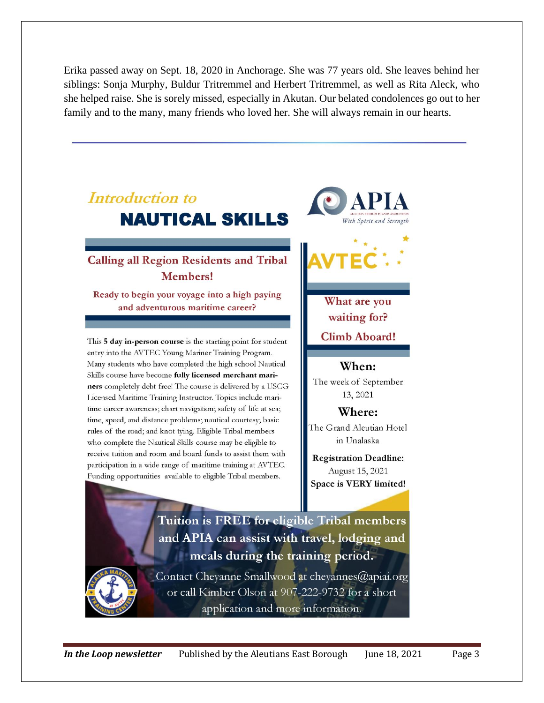Erika passed away on Sept. 18, 2020 in Anchorage. She was 77 years old. She leaves behind her siblings: Sonja Murphy, Buldur Tritremmel and Herbert Tritremmel, as well as Rita Aleck, who she helped raise. She is sorely missed, especially in Akutan. Our belated condolences go out to her family and to the many, many friends who loved her. She will always remain in our hearts.

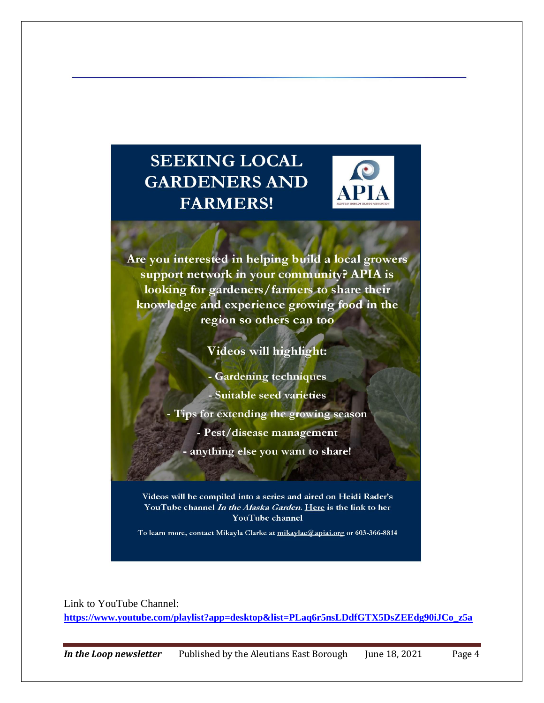## **SEEKING LOCAL GARDENERS AND FARMERS!**



Are you interested in helping build a local growers support network in your community? APIA is looking for gardeners/farmers to share their knowledge and experience growing food in the region so others can too

Videos will highlight:

- Gardening techniques - Suitable seed varieties Tips for extending the growing season - Pest/disease management - anything else you want to share!

Videos will be compiled into a series and aired on Heidi Rader's YouTube channel In the Alaska Garden. Here is the link to her YouTube channel

To learn more, contact Mikayla Clarke at <u>mikaylac@apiai.or</u>g or 603-366-8814

Link to YouTube Channel: **[https://www.youtube.com/playlist?app=desktop&list=PLaq6r5nsLDdfGTX5DsZEEdg90iJCo\\_z5a](https://www.youtube.com/playlist?app=desktop&list=PLaq6r5nsLDdfGTX5DsZEEdg90iJCo_z5a)**

*In the Loop newsletter* Published by the Aleutians East Borough June 18, 2021 Page 4